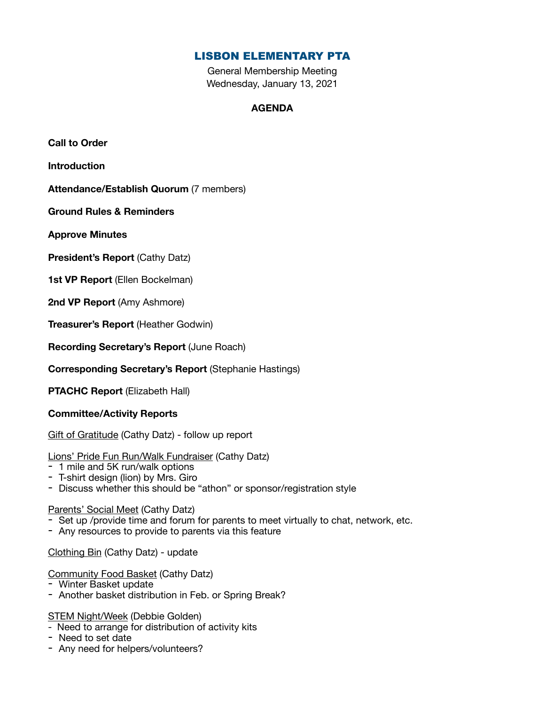# LISBON ELEMENTARY PTA

General Membership Meeting Wednesday, January 13, 2021

## **AGENDA**

**Call to Order** 

**Introduction** 

**Attendance/Establish Quorum** (7 members)

**Ground Rules & Reminders** 

**Approve Minutes** 

**President's Report** (Cathy Datz)

**1st VP Report** (Ellen Bockelman)

**2nd VP Report** (Amy Ashmore)

**Treasurer's Report** (Heather Godwin)

**Recording Secretary's Report** (June Roach)

**Corresponding Secretary's Report** (Stephanie Hastings)

**PTACHC Report** (Elizabeth Hall)

#### **Committee/Activity Reports**

Gift of Gratitude (Cathy Datz) - follow up report

Lions' Pride Fun Run/Walk Fundraiser (Cathy Datz)

- 1 mile and 5K run/walk options
- T-shirt design (lion) by Mrs. Giro
- Discuss whether this should be "athon" or sponsor/registration style

#### Parents' Social Meet (Cathy Datz)

- Set up /provide time and forum for parents to meet virtually to chat, network, etc.
- Any resources to provide to parents via this feature

### Clothing Bin (Cathy Datz) - update

- Community Food Basket (Cathy Datz)
- Winter Basket update
- Another basket distribution in Feb. or Spring Break?

STEM Night/Week (Debbie Golden)

- Need to arrange for distribution of activity kits
- Need to set date
- Any need for helpers/volunteers?